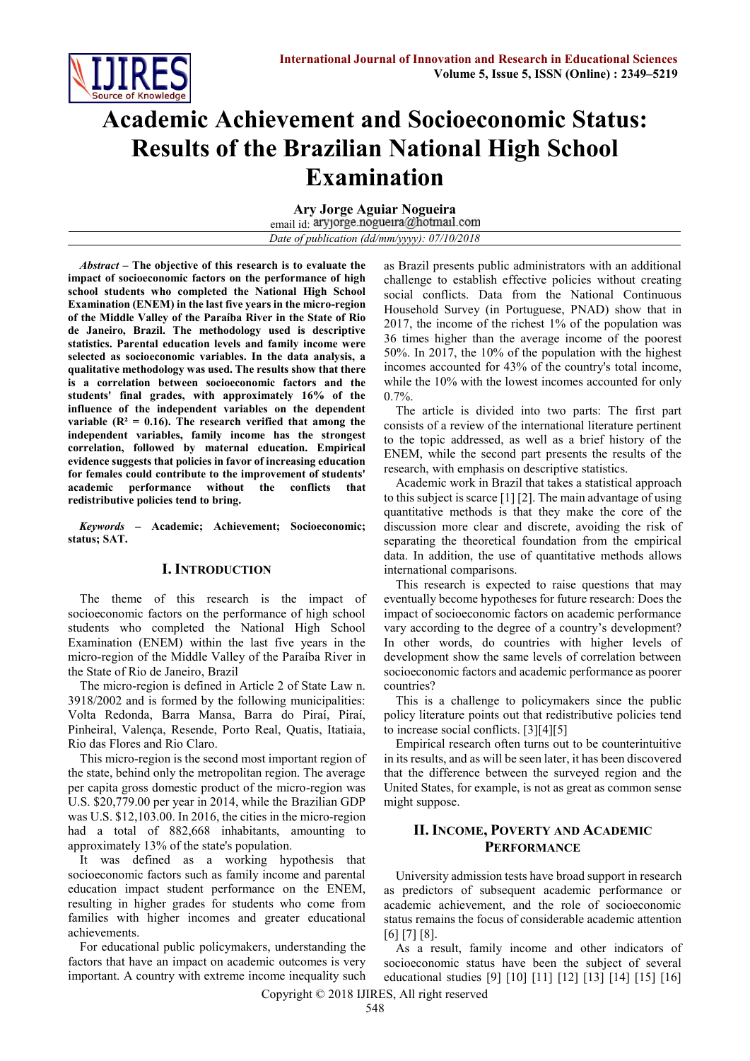

# **Academic Achievement and Socioeconomic Status: Results of the Brazilian National High School Examination**

**Ary Jorge Aguiar Nogueira** email id: aryjorge.nogueira@hotmail.com *Date of publication (dd/mm/yyyy): 07/10/2018*

*Abstract –* **The objective of this research is to evaluate the impact of socioeconomic factors on the performance of high school students who completed the National High School Examination (ENEM) in the last five years in the micro-region of the Middle Valley of the Paraíba River in the State of Rio de Janeiro, Brazil. The methodology used is descriptive statistics. Parental education levels and family income were selected as socioeconomic variables. In the data analysis, a qualitative methodology was used. The results show that there is a correlation between socioeconomic factors and the students' final grades, with approximately 16% of the influence of the independent variables on the dependent**  variable  $(R^2 = 0.16)$ . The research verified that among the **independent variables, family income has the strongest correlation, followed by maternal education. Empirical evidence suggests that policies in favor of increasing education for females could contribute to the improvement of students' academic performance without the conflicts that redistributive policies tend to bring.** 

*Keywords* **– Academic; Achievement; Socioeconomic; status; SAT.**

#### **I. INTRODUCTION**

The theme of this research is the impact of socioeconomic factors on the performance of high school students who completed the National High School Examination (ENEM) within the last five years in the micro-region of the Middle Valley of the Paraíba River in the State of Rio de Janeiro, Brazil

The micro-region is defined in Article 2 of State Law n. 3918/2002 and is formed by the following municipalities: Volta Redonda, Barra Mansa, Barra do Piraí, Piraí, Pinheiral, Valença, Resende, Porto Real, Quatis, Itatiaia, Rio das Flores and Rio Claro.

This micro-region is the second most important region of the state, behind only the metropolitan region. The average per capita gross domestic product of the micro-region was U.S. \$20,779.00 per year in 2014, while the Brazilian GDP was U.S. \$12,103.00. In 2016, the cities in the micro-region had a total of 882,668 inhabitants, amounting to approximately 13% of the state's population.

It was defined as a working hypothesis that socioeconomic factors such as family income and parental education impact student performance on the ENEM, resulting in higher grades for students who come from families with higher incomes and greater educational achievements.

For educational public policymakers, understanding the factors that have an impact on academic outcomes is very important. A country with extreme income inequality such as Brazil presents public administrators with an additional challenge to establish effective policies without creating social conflicts. Data from the National Continuous Household Survey (in Portuguese, PNAD) show that in 2017, the income of the richest 1% of the population was 36 times higher than the average income of the poorest 50%. In 2017, the 10% of the population with the highest incomes accounted for 43% of the country's total income, while the 10% with the lowest incomes accounted for only  $0.7\%$ .

The article is divided into two parts: The first part consists of a review of the international literature pertinent to the topic addressed, as well as a brief history of the ENEM, while the second part presents the results of the research, with emphasis on descriptive statistics.

Academic work in Brazil that takes a statistical approach to this subject is scarce [1] [2]. The main advantage of using quantitative methods is that they make the core of the discussion more clear and discrete, avoiding the risk of separating the theoretical foundation from the empirical data. In addition, the use of quantitative methods allows international comparisons.

This research is expected to raise questions that may eventually become hypotheses for future research: Does the impact of socioeconomic factors on academic performance vary according to the degree of a country's development? In other words, do countries with higher levels of development show the same levels of correlation between socioeconomic factors and academic performance as poorer countries?

This is a challenge to policymakers since the public policy literature points out that redistributive policies tend to increase social conflicts. [3][4][5]

Empirical research often turns out to be counterintuitive in its results, and as will be seen later, it has been discovered that the difference between the surveyed region and the United States, for example, is not as great as common sense might suppose.

### **II. INCOME, POVERTY AND ACADEMIC PERFORMANCE**

University admission tests have broad support in research as predictors of subsequent academic performance or academic achievement, and the role of socioeconomic status remains the focus of considerable academic attention [6] [7] [8].

As a result, family income and other indicators of socioeconomic status have been the subject of several educational studies [9] [10] [11] [12] [13] [14] [15] [16]

Copyright © 2018 IJIRES, All right reserved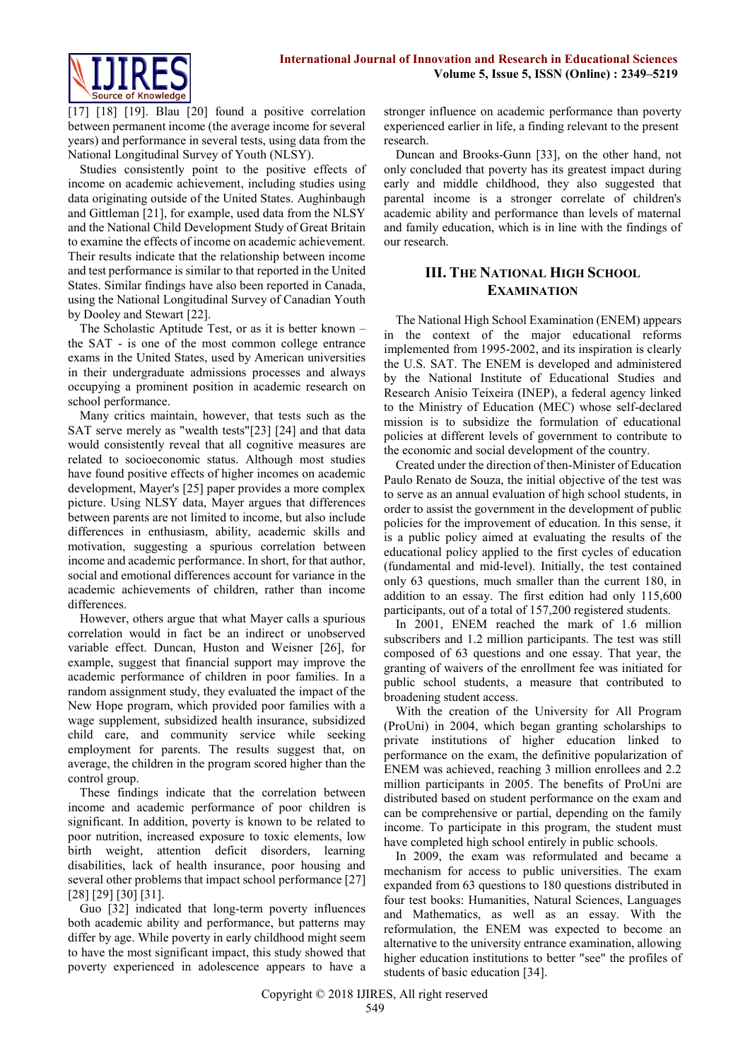

[17] [18] [19]. Blau [20] found a positive correlation between permanent income (the average income for several years) and performance in several tests, using data from the National Longitudinal Survey of Youth (NLSY).

Studies consistently point to the positive effects of income on academic achievement, including studies using data originating outside of the United States. Aughinbaugh and Gittleman [21], for example, used data from the NLSY and the National Child Development Study of Great Britain to examine the effects of income on academic achievement. Their results indicate that the relationship between income and test performance is similar to that reported in the United States. Similar findings have also been reported in Canada, using the National Longitudinal Survey of Canadian Youth by Dooley and Stewart [22].

The Scholastic Aptitude Test, or as it is better known – the SAT - is one of the most common college entrance exams in the United States, used by American universities in their undergraduate admissions processes and always occupying a prominent position in academic research on school performance.

Many critics maintain, however, that tests such as the SAT serve merely as "wealth tests"[23] [24] and that data would consistently reveal that all cognitive measures are related to socioeconomic status. Although most studies have found positive effects of higher incomes on academic development, Mayer's [25] paper provides a more complex picture. Using NLSY data, Mayer argues that differences between parents are not limited to income, but also include differences in enthusiasm, ability, academic skills and motivation, suggesting a spurious correlation between income and academic performance. In short, for that author, social and emotional differences account for variance in the academic achievements of children, rather than income differences.

However, others argue that what Mayer calls a spurious correlation would in fact be an indirect or unobserved variable effect. Duncan, Huston and Weisner [26], for example, suggest that financial support may improve the academic performance of children in poor families. In a random assignment study, they evaluated the impact of the New Hope program, which provided poor families with a wage supplement, subsidized health insurance, subsidized child care, and community service while seeking employment for parents. The results suggest that, on average, the children in the program scored higher than the control group.

These findings indicate that the correlation between income and academic performance of poor children is significant. In addition, poverty is known to be related to poor nutrition, increased exposure to toxic elements, low birth weight, attention deficit disorders, learning disabilities, lack of health insurance, poor housing and several other problems that impact school performance [27] [28] [29] [30] [31].

Guo [32] indicated that long-term poverty influences both academic ability and performance, but patterns may differ by age. While poverty in early childhood might seem to have the most significant impact, this study showed that poverty experienced in adolescence appears to have a stronger influence on academic performance than poverty experienced earlier in life, a finding relevant to the present research.

Duncan and Brooks-Gunn [33], on the other hand, not only concluded that poverty has its greatest impact during early and middle childhood, they also suggested that parental income is a stronger correlate of children's academic ability and performance than levels of maternal and family education, which is in line with the findings of our research.

## **III. THE NATIONAL HIGH SCHOOL EXAMINATION**

The National High School Examination (ENEM) appears in the context of the major educational reforms implemented from 1995-2002, and its inspiration is clearly the U.S. SAT. The ENEM is developed and administered by the National Institute of Educational Studies and Research Anísio Teixeira (INEP), a federal agency linked to the Ministry of Education (MEC) whose self-declared mission is to subsidize the formulation of educational policies at different levels of government to contribute to the economic and social development of the country.

Created under the direction of then-Minister of Education Paulo Renato de Souza, the initial objective of the test was to serve as an annual evaluation of high school students, in order to assist the government in the development of public policies for the improvement of education. In this sense, it is a public policy aimed at evaluating the results of the educational policy applied to the first cycles of education (fundamental and mid-level). Initially, the test contained only 63 questions, much smaller than the current 180, in addition to an essay. The first edition had only 115,600 participants, out of a total of 157,200 registered students.

In 2001, ENEM reached the mark of 1.6 million subscribers and 1.2 million participants. The test was still composed of 63 questions and one essay. That year, the granting of waivers of the enrollment fee was initiated for public school students, a measure that contributed to broadening student access.

With the creation of the University for All Program (ProUni) in 2004, which began granting scholarships to private institutions of higher education linked to performance on the exam, the definitive popularization of ENEM was achieved, reaching 3 million enrollees and 2.2 million participants in 2005. The benefits of ProUni are distributed based on student performance on the exam and can be comprehensive or partial, depending on the family income. To participate in this program, the student must have completed high school entirely in public schools.

In 2009, the exam was reformulated and became a mechanism for access to public universities. The exam expanded from 63 questions to 180 questions distributed in four test books: Humanities, Natural Sciences, Languages and Mathematics, as well as an essay. With the reformulation, the ENEM was expected to become an alternative to the university entrance examination, allowing higher education institutions to better "see" the profiles of students of basic education [34].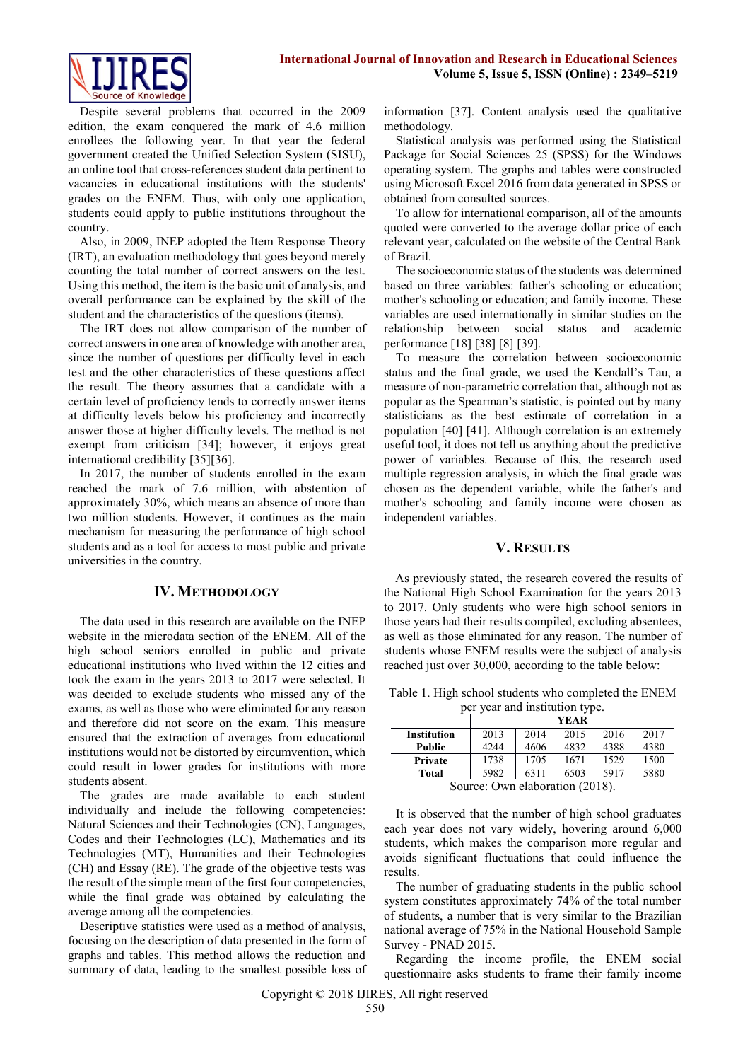

Despite several problems that occurred in the 2009 edition, the exam conquered the mark of 4.6 million enrollees the following year. In that year the federal government created the Unified Selection System (SISU), an online tool that cross-references student data pertinent to vacancies in educational institutions with the students' grades on the ENEM. Thus, with only one application, students could apply to public institutions throughout the country.

Also, in 2009, INEP adopted the Item Response Theory (IRT), an evaluation methodology that goes beyond merely counting the total number of correct answers on the test. Using this method, the item is the basic unit of analysis, and overall performance can be explained by the skill of the student and the characteristics of the questions (items).

The IRT does not allow comparison of the number of correct answers in one area of knowledge with another area, since the number of questions per difficulty level in each test and the other characteristics of these questions affect the result. The theory assumes that a candidate with a certain level of proficiency tends to correctly answer items at difficulty levels below his proficiency and incorrectly answer those at higher difficulty levels. The method is not exempt from criticism [34]; however, it enjoys great international credibility [35][36].

In 2017, the number of students enrolled in the exam reached the mark of 7.6 million, with abstention of approximately 30%, which means an absence of more than two million students. However, it continues as the main mechanism for measuring the performance of high school students and as a tool for access to most public and private universities in the country.

#### **IV. METHODOLOGY**

The data used in this research are available on the INEP website in the microdata section of the ENEM. All of the high school seniors enrolled in public and private educational institutions who lived within the 12 cities and took the exam in the years 2013 to 2017 were selected. It was decided to exclude students who missed any of the exams, as well as those who were eliminated for any reason and therefore did not score on the exam. This measure ensured that the extraction of averages from educational institutions would not be distorted by circumvention, which could result in lower grades for institutions with more students absent.

The grades are made available to each student individually and include the following competencies: Natural Sciences and their Technologies (CN), Languages, Codes and their Technologies (LC), Mathematics and its Technologies (MT), Humanities and their Technologies (CH) and Essay (RE). The grade of the objective tests was the result of the simple mean of the first four competencies, while the final grade was obtained by calculating the average among all the competencies.

Descriptive statistics were used as a method of analysis, focusing on the description of data presented in the form of graphs and tables. This method allows the reduction and summary of data, leading to the smallest possible loss of information [37]. Content analysis used the qualitative methodology.

Statistical analysis was performed using the Statistical Package for Social Sciences 25 (SPSS) for the Windows operating system. The graphs and tables were constructed using Microsoft Excel 2016 from data generated in SPSS or obtained from consulted sources.

To allow for international comparison, all of the amounts quoted were converted to the average dollar price of each relevant year, calculated on the website of the Central Bank of Brazil.

The socioeconomic status of the students was determined based on three variables: father's schooling or education; mother's schooling or education; and family income. These variables are used internationally in similar studies on the relationship between social status and academic performance [18] [38] [8] [39].

To measure the correlation between socioeconomic status and the final grade, we used the Kendall's Tau, a measure of non-parametric correlation that, although not as popular as the Spearman's statistic, is pointed out by many statisticians as the best estimate of correlation in a population [40] [41]. Although correlation is an extremely useful tool, it does not tell us anything about the predictive power of variables. Because of this, the research used multiple regression analysis, in which the final grade was chosen as the dependent variable, while the father's and mother's schooling and family income were chosen as independent variables.

#### **V. RESULTS**

As previously stated, the research covered the results of the National High School Examination for the years 2013 to 2017. Only students who were high school seniors in those years had their results compiled, excluding absentees, as well as those eliminated for any reason. The number of students whose ENEM results were the subject of analysis reached just over 30,000, according to the table below:

Table 1. High school students who completed the ENEM per year and institution type.

|                                 | YEAR |      |      |      |      |
|---------------------------------|------|------|------|------|------|
| <b>Institution</b>              | 2013 | 2014 | 2015 | 2016 | 2017 |
| Public                          | 4244 | 4606 | 4832 | 4388 | 4380 |
| Private                         | 1738 | 1705 | 1671 | 1529 | 1500 |
| <b>Total</b>                    | 5982 | 6311 | 6503 | 5917 | 5880 |
| Source: Own elaboration (2018). |      |      |      |      |      |

It is observed that the number of high school graduates each year does not vary widely, hovering around 6,000 students, which makes the comparison more regular and avoids significant fluctuations that could influence the results.

The number of graduating students in the public school system constitutes approximately 74% of the total number of students, a number that is very similar to the Brazilian national average of 75% in the National Household Sample Survey - PNAD 2015.

Regarding the income profile, the ENEM social questionnaire asks students to frame their family income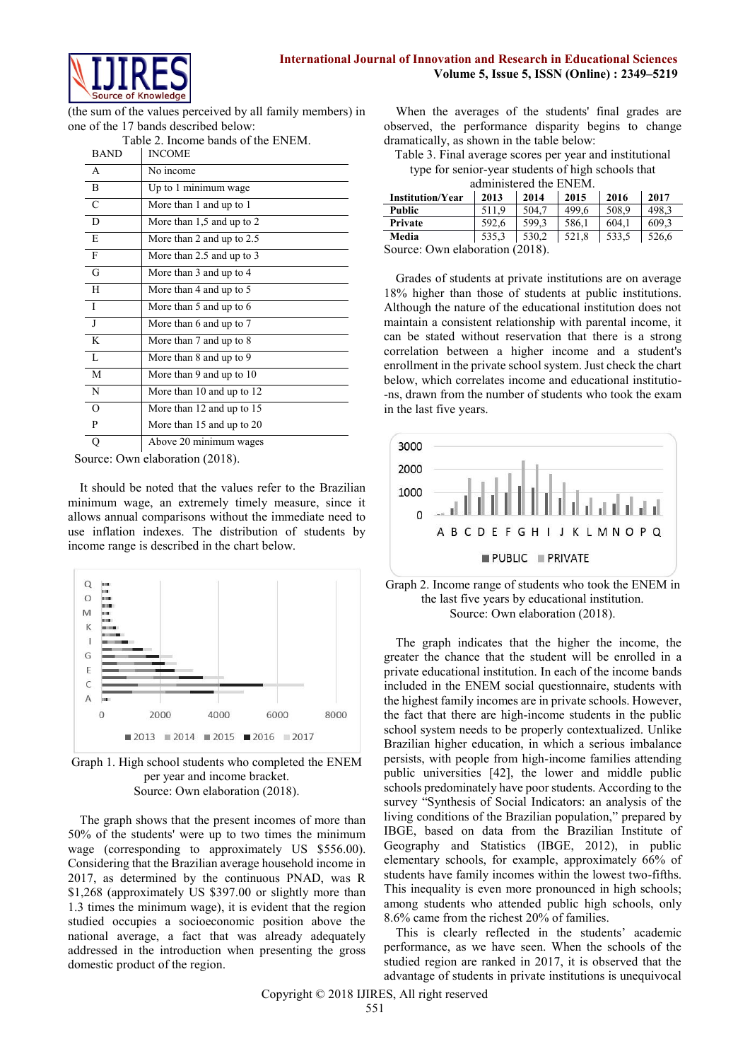

(the sum of the values perceived by all family members) in one of the 17 bands described below: Table 2. Income bands of the ENEM.

| <b>BAND</b>    | $10002$ . Income bands of the ET (ET).<br><b>INCOME</b> |
|----------------|---------------------------------------------------------|
| $\overline{A}$ | No income                                               |
| $\overline{B}$ | Up to 1 minimum wage                                    |
| $\overline{C}$ | More than 1 and up to 1                                 |
| D              | More than $1,5$ and up to $2$                           |
| E              | More than 2 and up to $2.5$                             |
| $\overline{F}$ | More than 2.5 and up to 3                               |
| G              | More than 3 and up to 4                                 |
| H              | More than 4 and up to 5                                 |
| $\top$         | More than 5 and up to 6                                 |
| $\overline{J}$ | More than 6 and up to 7                                 |
| $\mathbf{K}$   | More than 7 and up to 8                                 |
| $\overline{L}$ | More than 8 and up to 9                                 |
| M              | More than 9 and up to 10                                |
| N              | More than 10 and up to 12                               |
| $\Omega$       | More than 12 and up to 15                               |
| P              | More than 15 and up to 20                               |
| О              | Above 20 minimum wages                                  |

Source: Own elaboration (2018).

It should be noted that the values refer to the Brazilian minimum wage, an extremely timely measure, since it allows annual comparisons without the immediate need to use inflation indexes. The distribution of students by income range is described in the chart below.



Graph 1. High school students who completed the ENEM per year and income bracket. Source: Own elaboration (2018).

The graph shows that the present incomes of more than 50% of the students' were up to two times the minimum wage (corresponding to approximately US \$556.00). Considering that the Brazilian average household income in 2017, as determined by the continuous PNAD, was R \$1,268 (approximately US \$397.00 or slightly more than 1.3 times the minimum wage), it is evident that the region studied occupies a socioeconomic position above the national average, a fact that was already adequately addressed in the introduction when presenting the gross domestic product of the region.

When the averages of the students' final grades are observed, the performance disparity begins to change dramatically, as shown in the table below:

Table 3. Final average scores per year and institutional type for senior-year students of high schools that administered the ENEM

| aummsición que envero.  |       |          |       |       |       |
|-------------------------|-------|----------|-------|-------|-------|
| <b>Institution/Year</b> | 2013  | 2014     | 2015  | 2016  | 2017  |
| <b>Public</b>           | 511.9 | 504.7    | 499.6 | 508.9 | 498.3 |
| Private                 | 592.6 | 599.3    | 586.1 | 604.1 | 609.3 |
| Media                   | 535,3 | 530.2    | 521.8 | 533.5 | 526.6 |
| $\tilde{\phantom{a}}$   |       | (0.0000) |       |       |       |

Source: Own elaboration (2018).

Grades of students at private institutions are on average 18% higher than those of students at public institutions. Although the nature of the educational institution does not maintain a consistent relationship with parental income, it can be stated without reservation that there is a strong correlation between a higher income and a student's enrollment in the private school system. Just check the chart below, which correlates income and educational institutio- -ns, drawn from the number of students who took the exam in the last five years.





The graph indicates that the higher the income, the greater the chance that the student will be enrolled in a private educational institution. In each of the income bands included in the ENEM social questionnaire, students with the highest family incomes are in private schools. However, the fact that there are high-income students in the public school system needs to be properly contextualized. Unlike Brazilian higher education, in which a serious imbalance persists, with people from high-income families attending public universities [42], the lower and middle public schools predominately have poor students. According to the survey "Synthesis of Social Indicators: an analysis of the living conditions of the Brazilian population," prepared by IBGE, based on data from the Brazilian Institute of Geography and Statistics (IBGE, 2012), in public elementary schools, for example, approximately 66% of students have family incomes within the lowest two-fifths. This inequality is even more pronounced in high schools; among students who attended public high schools, only 8.6% came from the richest 20% of families.

This is clearly reflected in the students' academic performance, as we have seen. When the schools of the studied region are ranked in 2017, it is observed that the advantage of students in private institutions is unequivocal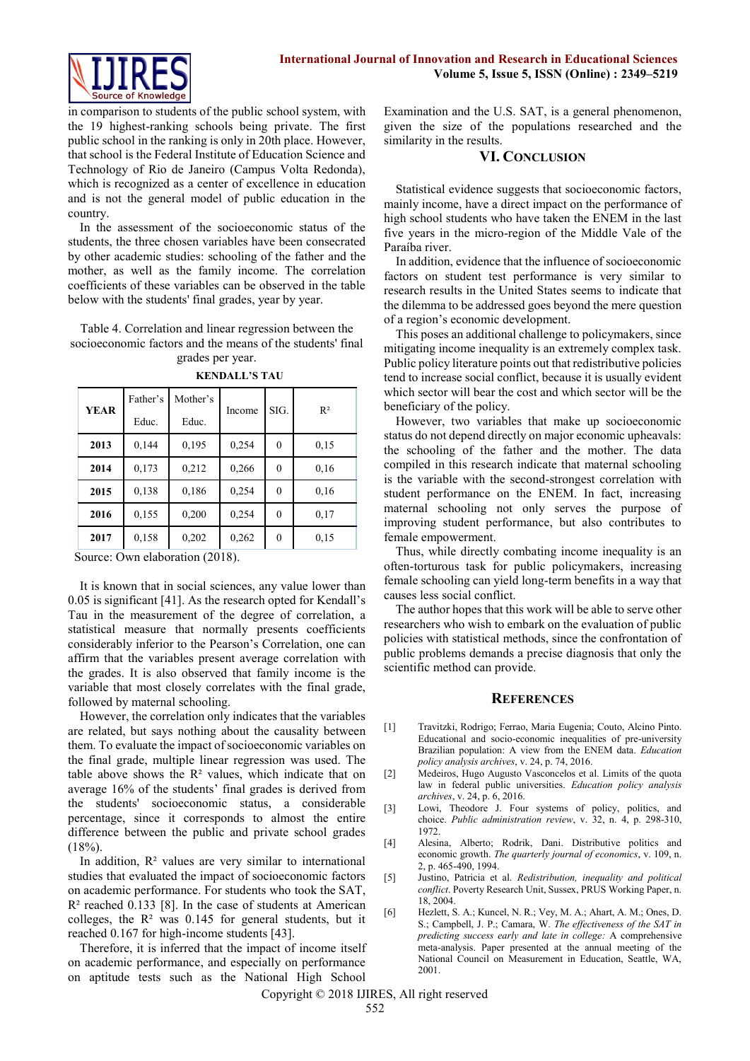in comparison to students of the public school system, with the 19 highest-ranking schools being private. The first public school in the ranking is only in 20th place. However, that school is the Federal Institute of Education Science and Technology of Rio de Janeiro (Campus Volta Redonda), which is recognized as a center of excellence in education and is not the general model of public education in the country.

In the assessment of the socioeconomic status of the students, the three chosen variables have been consecrated by other academic studies: schooling of the father and the mother, as well as the family income. The correlation coefficients of these variables can be observed in the table below with the students' final grades, year by year.

Table 4. Correlation and linear regression between the socioeconomic factors and the means of the students' final grades per year.

|             | Father's | Mother's |        |          |       |  |
|-------------|----------|----------|--------|----------|-------|--|
| <b>YEAR</b> | Educ.    | Educ.    | Income | SIG.     | $R^2$ |  |
| 2013        | 0,144    | 0,195    | 0,254  | $\theta$ | 0.15  |  |
| 2014        | 0,173    | 0,212    | 0,266  | $\theta$ | 0,16  |  |
| 2015        | 0.138    | 0.186    | 0,254  | $\theta$ | 0,16  |  |
| 2016        | 0,155    | 0,200    | 0,254  | $\theta$ | 0,17  |  |
| 2017        | 0,158    | 0,202    | 0,262  | $\theta$ | 0.15  |  |

**KENDALL'S TAU**

Source: Own elaboration (2018).

It is known that in social sciences, any value lower than 0.05 is significant [41]. As the research opted for Kendall's Tau in the measurement of the degree of correlation, a statistical measure that normally presents coefficients considerably inferior to the Pearson's Correlation, one can affirm that the variables present average correlation with the grades. It is also observed that family income is the variable that most closely correlates with the final grade, followed by maternal schooling.

However, the correlation only indicates that the variables are related, but says nothing about the causality between them. To evaluate the impact of socioeconomic variables on the final grade, multiple linear regression was used. The table above shows the  $\mathbb{R}^2$  values, which indicate that on average 16% of the students' final grades is derived from the students' socioeconomic status, a considerable percentage, since it corresponds to almost the entire difference between the public and private school grades  $(18%)$ 

In addition,  $\mathbb{R}^2$  values are very similar to international studies that evaluated the impact of socioeconomic factors on academic performance. For students who took the SAT,  $R<sup>2</sup>$  reached 0.133 [8]. In the case of students at American colleges, the  $R<sup>2</sup>$  was 0.145 for general students, but it reached 0.167 for high-income students [43].

Therefore, it is inferred that the impact of income itself on academic performance, and especially on performance on aptitude tests such as the National High School

Examination and the U.S. SAT, is a general phenomenon, given the size of the populations researched and the similarity in the results.

#### **VI. CONCLUSION**

Statistical evidence suggests that socioeconomic factors, mainly income, have a direct impact on the performance of high school students who have taken the ENEM in the last five years in the micro-region of the Middle Vale of the Paraíba river.

In addition, evidence that the influence of socioeconomic factors on student test performance is very similar to research results in the United States seems to indicate that the dilemma to be addressed goes beyond the mere question of a region's economic development.

This poses an additional challenge to policymakers, since mitigating income inequality is an extremely complex task. Public policy literature points out that redistributive policies tend to increase social conflict, because it is usually evident which sector will bear the cost and which sector will be the beneficiary of the policy.

However, two variables that make up socioeconomic status do not depend directly on major economic upheavals: the schooling of the father and the mother. The data compiled in this research indicate that maternal schooling is the variable with the second-strongest correlation with student performance on the ENEM. In fact, increasing maternal schooling not only serves the purpose of improving student performance, but also contributes to female empowerment.

Thus, while directly combating income inequality is an often-torturous task for public policymakers, increasing female schooling can yield long-term benefits in a way that causes less social conflict.

The author hopes that this work will be able to serve other researchers who wish to embark on the evaluation of public policies with statistical methods, since the confrontation of public problems demands a precise diagnosis that only the scientific method can provide.

#### **REFERENCES**

- [1] Travitzki, Rodrigo; Ferrao, Maria Eugenia; Couto, Alcino Pinto. Educational and socio-economic inequalities of pre-university Brazilian population: A view from the ENEM data. *Education policy analysis archives*, v. 24, p. 74, 2016.
- [2] Medeiros, Hugo Augusto Vasconcelos et al. Limits of the quota law in federal public universities. *Education policy analysis archives*, v. 24, p. 6, 2016.
- [3] Lowi, Theodore J. Four systems of policy, politics, and choice. *Public administration review*, v. 32, n. 4, p. 298-310, 1972.
- [4] Alesina, Alberto; Rodrik, Dani. Distributive politics and economic growth. *The quarterly journal of economics*, v. 109, n. 2, p. 465-490, 1994.
- [5] Justino, Patricia et al. *Redistribution, inequality and political conflict*. Poverty Research Unit, Sussex, PRUS Working Paper, n. 18, 2004.
- [6] Hezlett, S. A.; Kuncel, N. R.; Vey, M. A.; Ahart, A. M.; Ones, D. S.; Campbell, J. P.; Camara, W. *The effectiveness of the SAT in predicting success early and late in college:* A comprehensive meta-analysis. Paper presented at the annual meeting of the National Council on Measurement in Education, Seattle, WA, 2001.

Copyright © 2018 IJIRES, All right reserved